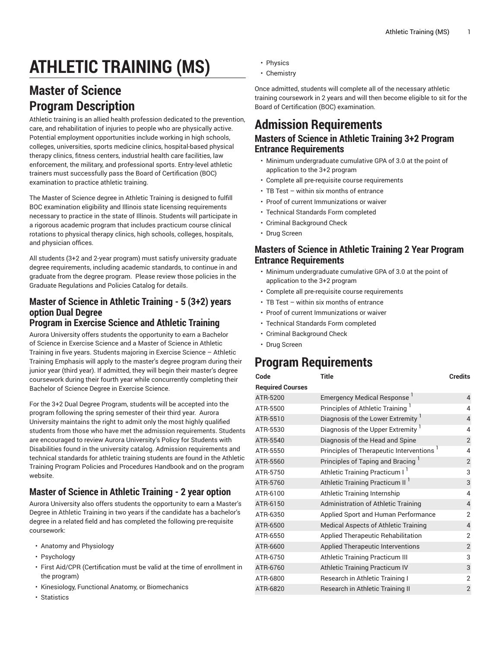# **ATHLETIC TRAINING (MS)**

### **Master of Science Program Description**

Athletic training is an allied health profession dedicated to the prevention, care, and rehabilitation of injuries to people who are physically active. Potential employment opportunities include working in high schools, colleges, universities, sports medicine clinics, hospital-based physical therapy clinics, fitness centers, industrial health care facilities, law enforcement, the military, and professional sports. Entry-level athletic trainers must successfully pass the Board of Certification (BOC) examination to practice athletic training.

The Master of Science degree in Athletic Training is designed to fulfill BOC examination eligibility and Illinois state licensing requirements necessary to practice in the state of Illinois. Students will participate in a rigorous academic program that includes practicum course clinical rotations to physical therapy clinics, high schools, colleges, hospitals, and physician offices.

All students (3+2 and 2-year program) must satisfy university graduate degree requirements, including academic standards, to continue in and graduate from the degree program. Please review those policies in the Graduate Regulations and Policies Catalog for details.

### **Master of Science in Athletic Training - 5 (3+2) years option Dual Degree**

#### **Program in Exercise Science and Athletic Training**

Aurora University offers students the opportunity to earn a Bachelor of Science in Exercise Science and a Master of Science in Athletic Training in five years. Students majoring in Exercise Science – Athletic Training Emphasis will apply to the master's degree program during their junior year (third year). If admitted, they will begin their master's degree coursework during their fourth year while concurrently completing their Bachelor of Science Degree in Exercise Science.

For the 3+2 Dual Degree Program, students will be accepted into the program following the spring semester of their third year. Aurora University maintains the right to admit only the most highly qualified students from those who have met the admission requirements. Students are encouraged to review Aurora University's Policy for Students with Disabilities found in the university catalog. Admission requirements and technical standards for athletic training students are found in the Athletic Training Program Policies and Procedures Handbook and on the program website.

#### **Master of Science in Athletic Training - 2 year option**

Aurora University also offers students the opportunity to earn a Master's Degree in Athletic Training in two years if the candidate has a bachelor's degree in a related field and has completed the following pre-requisite coursework:

- Anatomy and Physiology
- Psychology
- First Aid/CPR (Certification must be valid at the time of enrollment in the program)
- Kinesiology, Functional Anatomy, or Biomechanics
- Statistics
- Physics
- Chemistry

Once admitted, students will complete all of the necessary athletic training coursework in 2 years and will then become eligible to sit for the Board of Certification (BOC) examination.

## **Admission Requirements**

#### **Masters of Science in Athletic Training 3+2 Program Entrance Requirements**

- Minimum undergraduate cumulative GPA of 3.0 at the point of application to the 3+2 program
- Complete all pre-requisite course requirements
- TB Test within six months of entrance
- Proof of current Immunizations or waiver
- Technical Standards Form completed
- Criminal Background Check
- Drug Screen

#### **Masters of Science in Athletic Training 2 Year Program Entrance Requirements**

- Minimum undergraduate cumulative GPA of 3.0 at the point of application to the 3+2 program
- Complete all pre-requisite course requirements
- TB Test within six months of entrance
- Proof of current Immunizations or waiver
- Technical Standards Form completed
- Criminal Background Check
- Drug Screen

### **Program Requirements**

| Code                    | Title                                         | Credits                  |
|-------------------------|-----------------------------------------------|--------------------------|
| <b>Required Courses</b> |                                               |                          |
| ATR-5200                | Emergency Medical Response                    | $\overline{4}$           |
| ATR-5500                | Principles of Athletic Training <sup>1</sup>  | 4                        |
| ATR-5510                | Diagnosis of the Lower Extremity <sup>1</sup> | $\overline{\mathcal{L}}$ |
| ATR-5530                | Diagnosis of the Upper Extremity <sup>1</sup> | 4                        |
| ATR-5540                | Diagnosis of the Head and Spine               | $\overline{2}$           |
| ATR-5550                | Principles of Therapeutic Interventions       | 4                        |
| ATR-5560                | Principles of Taping and Bracing              | $\overline{2}$           |
| ATR-5750                | Athletic Training Practicum I                 | 3                        |
| ATR-5760                | Athletic Training Practicum II <sup>1</sup>   | 3                        |
| ATR-6100                | Athletic Training Internship                  | 4                        |
| ATR-6150                | Administration of Athletic Training           | $\overline{4}$           |
| ATR-6350                | Applied Sport and Human Performance           | $\overline{2}$           |
| ATR-6500                | <b>Medical Aspects of Athletic Training</b>   | $\overline{4}$           |
| ATR-6550                | Applied Therapeutic Rehabilitation            | $\overline{2}$           |
| ATR-6600                | Applied Therapeutic Interventions             | $\overline{2}$           |
| ATR-6750                | Athletic Training Practicum III               | 3                        |
| ATR-6760                | Athletic Training Practicum IV                | 3                        |
| ATR-6800                | Research in Athletic Training I               | $\overline{2}$           |
| ATR-6820                | Research in Athletic Training II              | $\overline{2}$           |